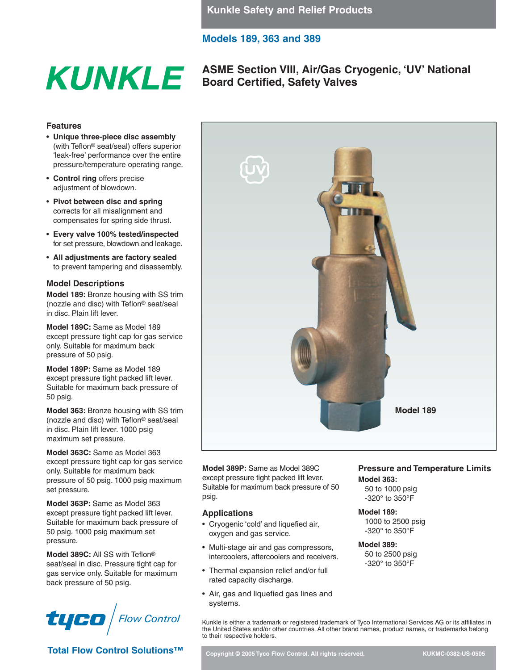# **ASME Section VIII, Air/Gas Cryogenic, 'UV' National KUNKLE** ASME Section VIII, Air/Gas Cry

## **Features**

- **Unique three-piece disc assembly** (with Teflon® seat/seal) offers superior 'leak-free' performance over the entire pressure/temperature operating range.
- **Control ring** offers precise adjustment of blowdown.
- **Pivot between disc and spring** corrects for all misalignment and compensates for spring side thrust.
- **Every valve 100% tested/inspected** for set pressure, blowdown and leakage.
- **All adjustments are factory sealed** to prevent tampering and disassembly.

## **Model Descriptions**

**Model 189:** Bronze housing with SS trim (nozzle and disc) with Teflon® seat/seal in disc. Plain lift lever.

**Model 189C:** Same as Model 189 except pressure tight cap for gas service only. Suitable for maximum back pressure of 50 psig.

**Model 189P:** Same as Model 189 except pressure tight packed lift lever. Suitable for maximum back pressure of 50 psig.

**Model 363:** Bronze housing with SS trim (nozzle and disc) with Teflon® seat/seal in disc. Plain lift lever. 1000 psig maximum set pressure.

**Model 363C:** Same as Model 363 except pressure tight cap for gas service only. Suitable for maximum back pressure of 50 psig. 1000 psig maximum set pressure.

**Model 363P:** Same as Model 363 except pressure tight packed lift lever. Suitable for maximum back pressure of 50 psig. 1000 psig maximum set pressure.

**Model 389C:** All SS with Teflon® seat/seal in disc. Pressure tight cap for gas service only. Suitable for maximum back pressure of 50 psig.



**Total Flow Control Solutions<sup>™</sup> and Copyright © 2005 Tyco Flow Control. All rights reserved. KUKMC-0382-US-0505 KUKMC-0382-US-0505** 

**Model 389P:** Same as Model 389C except pressure tight packed lift lever. Suitable for maximum back pressure of 50 psig.

## **Applications**

- Cryogenic 'cold' and liquefied air, oxygen and gas service.
- Multi-stage air and gas compressors, intercoolers, aftercoolers and receivers.
- Thermal expansion relief and/or full rated capacity discharge.
- Air, gas and liquefied gas lines and systems.

## **Pressure and Temperature Limits Model 363:**

**Model 189**

50 to 1000 psig -320° to 350°F

## **Model 189:**

1000 to 2500 psig -320° to 350°F

## **Model 389:**

50 to 2500 psig -320° to 350°F

 $\left| \begin{array}{c} \begin{array}{c} \begin{array}{c} \begin{array}{c} \begin{array}{c} \end{array}\\ \end{array}\\ \end{array} \end{array} \right|\end{array} \right|}$  Flow Control Kunkle is either a trademark or registered trademark of Tyco International Services AG or its affiliates in the United States and/or other countries. All other brand names, product names, or trademarks belong to their respective holders.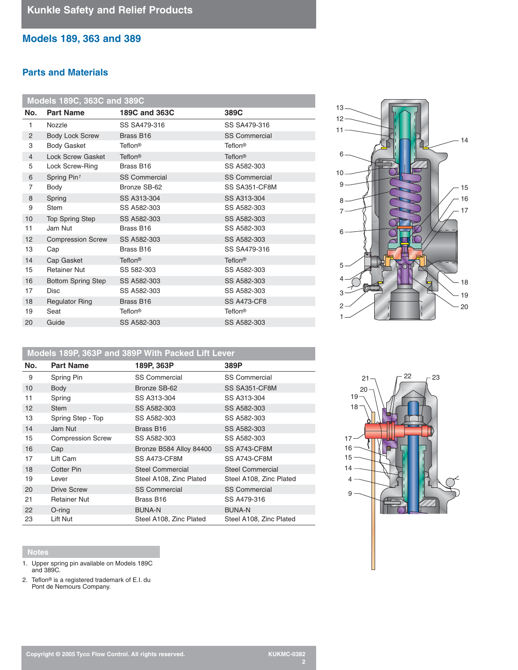## **Parts and Materials**

| <b>Models 189C, 363C and 389C</b> |                           |                      |                      |  |
|-----------------------------------|---------------------------|----------------------|----------------------|--|
| No.                               | <b>Part Name</b>          | 189C and 363C        | 389C                 |  |
| 1                                 | Nozzle                    | SS SA479-316         | SS SA479-316         |  |
| $\overline{2}$                    | <b>Body Lock Screw</b>    | Brass B16            | <b>SS Commercial</b> |  |
| 3<br><b>Body Gasket</b>           |                           | Teflon <sup>®</sup>  | Teflon <sup>®</sup>  |  |
| $\overline{4}$                    | <b>Lock Screw Gasket</b>  | Teflon <sup>®</sup>  | Teflon <sup>®</sup>  |  |
| 5                                 | Lock Screw-Ring           | Brass B16            | SS A582-303          |  |
| 6                                 | Spring Pin <sup>1</sup>   | <b>SS Commercial</b> | <b>SS Commercial</b> |  |
| $\overline{7}$                    | Body                      | Bronze SB-62         | SS SA351-CF8M        |  |
| Spring<br>8                       |                           | SS A313-304          | SS A313-304          |  |
| 9                                 | <b>Stem</b>               | SS A582-303          | SS A582-303          |  |
| 10                                | <b>Top Spring Step</b>    | SS A582-303          | SS A582-303          |  |
| 11                                | Jam Nut                   | Brass B16            | SS A582-303          |  |
| 12                                | <b>Compression Screw</b>  | SS A582-303          | SS A582-303          |  |
| 13                                | Cap                       | Brass B16            | SS SA479-316         |  |
| 14                                | Cap Gasket                | Teflon <sup>®</sup>  | Teflon <sup>®</sup>  |  |
| 15                                | <b>Retainer Nut</b>       | SS 582-303           | SS A582-303          |  |
| 16                                | <b>Bottom Spring Step</b> | SS A582-303          | SS A582-303          |  |
| 17                                | <b>Disc</b>               | SS A582-303          | SS A582-303          |  |
| 18                                | <b>Regulator Ring</b>     | Brass B16            | <b>SS A473-CF8</b>   |  |
| 19                                | Seat                      | Teflon <sup>®</sup>  | Teflon <sup>®</sup>  |  |
| 20                                | Guide                     | SS A582-303          | SS A582-303          |  |

# **Models 189P, 363P and 389P With Packed Lift Lever**

| No.               | <b>Part Name</b>         | 189P, 363P              | 389P                    |  |
|-------------------|--------------------------|-------------------------|-------------------------|--|
| 9                 | Spring Pin               | <b>SS Commercial</b>    | <b>SS Commercial</b>    |  |
| 10                | Body                     | Bronze SB-62            | SS SA351-CF8M           |  |
| 11                | Spring                   | SS A313-304             | SS A313-304             |  |
| $12 \overline{ }$ | <b>Stem</b>              | SS A582-303             | SS A582-303             |  |
| 13                | Spring Step - Top        | SS A582-303             | SS A582-303             |  |
| 14                | Jam Nut                  | Brass B16               | SS A582-303             |  |
| 15                | <b>Compression Screw</b> | SS A582-303             | SS A582-303             |  |
| 16                | Cap                      | Bronze B584 Alloy 84400 | SS A743-CF8M            |  |
| 17                | Lift Cam                 | SS A473-CF8M            | SS A743-CF8M            |  |
| 18                | Cotter Pin               | <b>Steel Commercial</b> | <b>Steel Commercial</b> |  |
| 19                | Lever                    | Steel A108, Zinc Plated | Steel A108, Zinc Plated |  |
| 20                | <b>Drive Screw</b>       | <b>SS Commercial</b>    | <b>SS Commercial</b>    |  |
| 21                | <b>Retainer Nut</b>      | Brass B16               | SS A479-316             |  |
| 22                | $O$ -ring                | <b>BUNA-N</b>           | <b>BUNA-N</b>           |  |
| 23                | Lift Nut                 | Steel A108, Zinc Plated | Steel A108, Zinc Plated |  |

### **Notes**

- 1. Upper spring pin available on Models 189C and 389C.
- 2. Teflon® is a registered trademark of E.I. du Pont de Nemours Company.



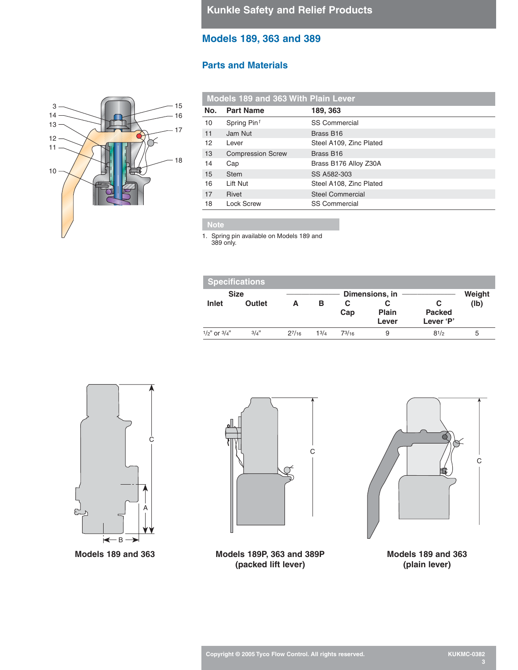## **Parts and Materials**



| <b>Models 189 and 363 With Plain Lever</b> |                          |                         |  |
|--------------------------------------------|--------------------------|-------------------------|--|
| No.                                        | <b>Part Name</b>         | 189, 363                |  |
| 10                                         | Spring Pin <sup>1</sup>  | <b>SS Commercial</b>    |  |
| 11                                         | Jam Nut                  | Brass B <sub>16</sub>   |  |
| 12                                         | Lever                    | Steel A109, Zinc Plated |  |
| 13                                         | <b>Compression Screw</b> | Brass B <sub>16</sub>   |  |
| 14                                         | Cap                      | Brass B176 Alloy Z30A   |  |
| 15                                         | <b>Stem</b>              | SS A582-303             |  |
| 16                                         | Lift Nut                 | Steel A108, Zinc Plated |  |
| 17                                         | <b>Rivet</b>             | <b>Steel Commercial</b> |  |
| 18                                         | <b>Lock Screw</b>        | <b>SS Commercial</b>    |  |

1. Spring pin available on Models 189 and

389 only.

| <b>Specifications</b> |               |            |           |          |                       |                                 |        |
|-----------------------|---------------|------------|-----------|----------|-----------------------|---------------------------------|--------|
| <b>Size</b>           |               |            |           |          | Dimensions, in        |                                 | Weight |
| Inlet                 | <b>Outlet</b> | А          | в         | С<br>Cap | <b>Plain</b><br>Lever | С<br><b>Packed</b><br>Lever 'P' | (Ib)   |
| $1/2$ " or $3/4$ "    | 3/4"          | $2^{7/16}$ | $1^{3/4}$ | 73/16    | 9                     | $8^{1/2}$                       | 5      |



**Models 189 and 363**





**Models 189P, 363 and 389P (packed lift lever)**

**Models 189 and 363 (plain lever)**